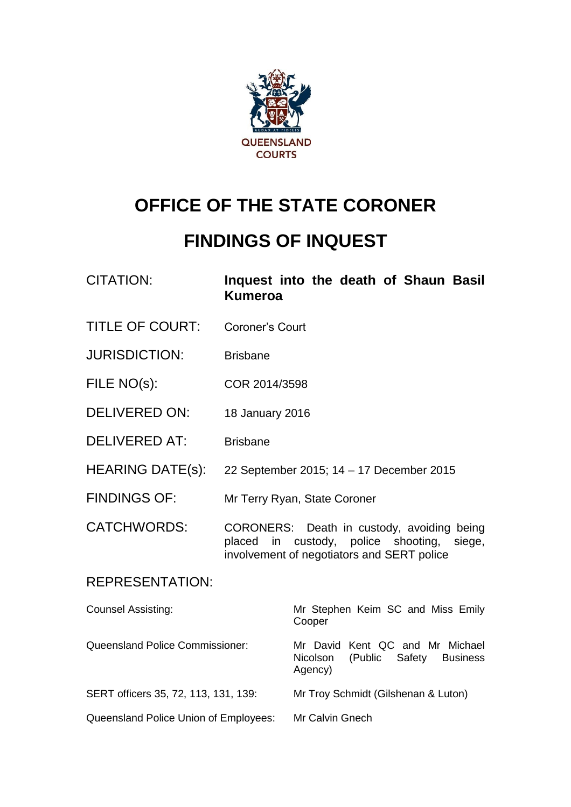

# **OFFICE OF THE STATE CORONER**

# **FINDINGS OF INQUEST**

| <b>CITATION:</b> | Inquest into the death of Shaun Basil |  |  |  |
|------------------|---------------------------------------|--|--|--|
|                  | <b>Kumeroa</b>                        |  |  |  |

- TITLE OF COURT: Coroner's Court
- JURISDICTION: Brisbane
- FILE NO(s): COR 2014/3598
- DELIVERED ON: 18 January 2016
- DELIVERED AT: Brisbane
- HEARING DATE(s): 22 September 2015; 14 17 December 2015
- FINDINGS OF: Mr Terry Ryan, State Coroner
- CATCHWORDS: CORONERS: Death in custody, avoiding being placed in custody, police shooting, siege, involvement of negotiators and SERT police

### REPRESENTATION:

| <b>Counsel Assisting:</b>              | Mr Stephen Keim SC and Miss Emily<br>Cooper                                                  |  |  |  |
|----------------------------------------|----------------------------------------------------------------------------------------------|--|--|--|
| <b>Queensland Police Commissioner:</b> | Mr David Kent QC and Mr Michael<br>(Public Safety)<br><b>Business</b><br>Nicolson<br>Agency) |  |  |  |
| SERT officers 35, 72, 113, 131, 139:   | Mr Troy Schmidt (Gilshenan & Luton)                                                          |  |  |  |
| Queensland Police Union of Employees:  | Mr Calvin Gnech                                                                              |  |  |  |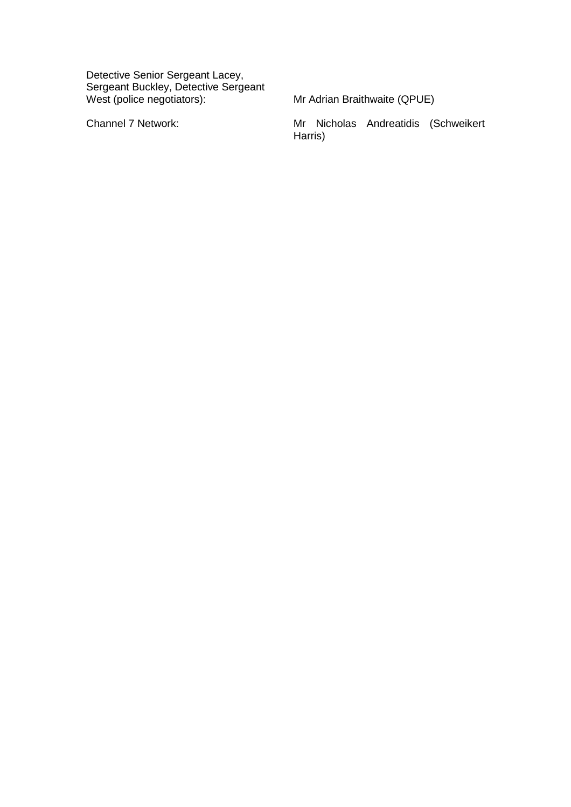Detective Senior Sergeant Lacey, Sergeant Buckley, Detective Sergeant West (police negotiators): Mr Adrian Braithwaite (QPUE)

Channel 7 Network: Mr Nicholas Andreatidis (Schweikert Harris)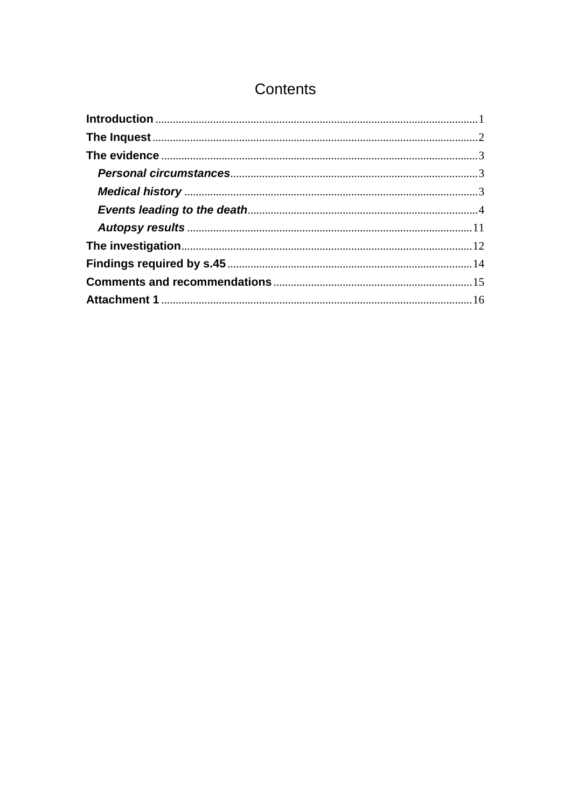# Contents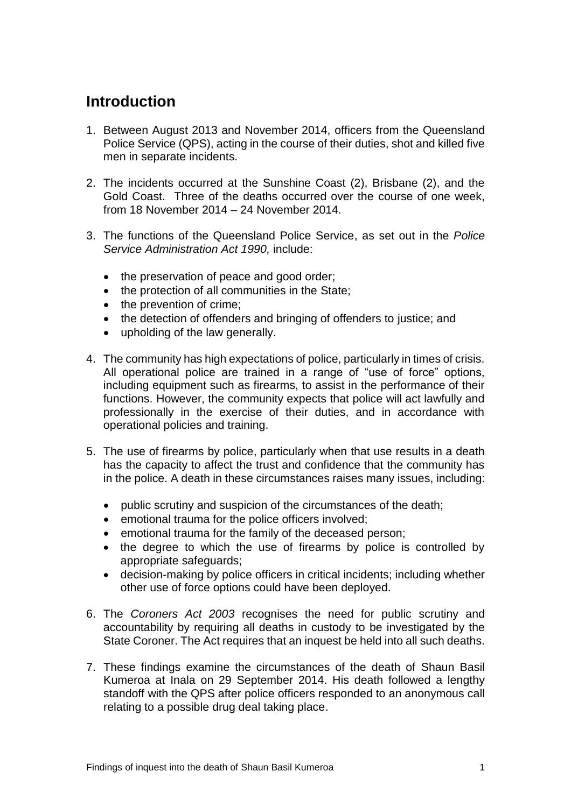# <span id="page-3-0"></span>**Introduction**

- 1. Between August 2013 and November 2014, officers from the Queensland Police Service (QPS), acting in the course of their duties, shot and killed five men in separate incidents.
- 2. The incidents occurred at the Sunshine Coast (2), Brisbane (2), and the Gold Coast. Three of the deaths occurred over the course of one week, from 18 November 2014 – 24 November 2014.
- 3. The functions of the Queensland Police Service, as set out in the *Police Service Administration Act 1990,* include:
	- the preservation of peace and good order;
	- the protection of all communities in the State:
	- the prevention of crime;
	- the detection of offenders and bringing of offenders to justice; and
	- upholding of the law generally.
- 4. The community has high expectations of police, particularly in times of crisis. All operational police are trained in a range of "use of force" options, including equipment such as firearms, to assist in the performance of their functions. However, the community expects that police will act lawfully and professionally in the exercise of their duties, and in accordance with operational policies and training.
- 5. The use of firearms by police, particularly when that use results in a death has the capacity to affect the trust and confidence that the community has in the police. A death in these circumstances raises many issues, including:
	- public scrutiny and suspicion of the circumstances of the death;
	- emotional trauma for the police officers involved;
	- emotional trauma for the family of the deceased person;
	- the degree to which the use of firearms by police is controlled by appropriate safeguards;
	- decision-making by police officers in critical incidents; including whether other use of force options could have been deployed.
- 6. The *Coroners Act 2003* recognises the need for public scrutiny and accountability by requiring all deaths in custody to be investigated by the State Coroner. The Act requires that an inquest be held into all such deaths.
- 7. These findings examine the circumstances of the death of Shaun Basil Kumeroa at Inala on 29 September 2014. His death followed a lengthy standoff with the QPS after police officers responded to an anonymous call relating to a possible drug deal taking place.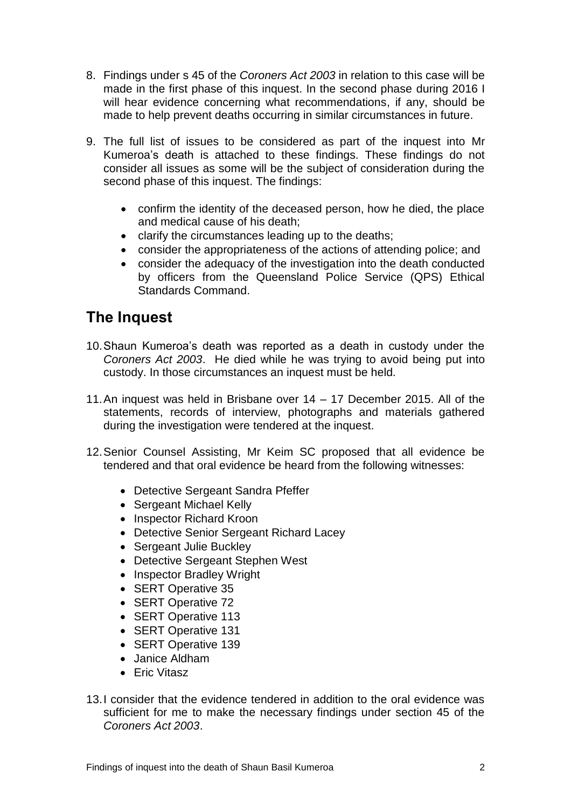- 8. Findings under s 45 of the *Coroners Act 2003* in relation to this case will be made in the first phase of this inquest. In the second phase during 2016 I will hear evidence concerning what recommendations, if any, should be made to help prevent deaths occurring in similar circumstances in future.
- 9. The full list of issues to be considered as part of the inquest into Mr Kumeroa's death is attached to these findings. These findings do not consider all issues as some will be the subject of consideration during the second phase of this inquest. The findings:
	- confirm the identity of the deceased person, how he died, the place and medical cause of his death;
	- clarify the circumstances leading up to the deaths;
	- consider the appropriateness of the actions of attending police; and
	- consider the adequacy of the investigation into the death conducted by officers from the Queensland Police Service (QPS) Ethical Standards Command.

## <span id="page-4-0"></span>**The Inquest**

- 10.Shaun Kumeroa's death was reported as a death in custody under the *Coroners Act 2003*. He died while he was trying to avoid being put into custody. In those circumstances an inquest must be held.
- 11.An inquest was held in Brisbane over 14 17 December 2015. All of the statements, records of interview, photographs and materials gathered during the investigation were tendered at the inquest.
- 12.Senior Counsel Assisting, Mr Keim SC proposed that all evidence be tendered and that oral evidence be heard from the following witnesses:
	- Detective Sergeant Sandra Pfeffer
	- Sergeant Michael Kelly
	- Inspector Richard Kroon
	- Detective Senior Sergeant Richard Lacey
	- Sergeant Julie Buckley
	- Detective Sergeant Stephen West
	- Inspector Bradley Wright
	- SERT Operative 35
	- SERT Operative 72
	- SERT Operative 113
	- SERT Operative 131
	- SERT Operative 139
	- Janice Aldham
	- Eric Vitasz
- 13.I consider that the evidence tendered in addition to the oral evidence was sufficient for me to make the necessary findings under section 45 of the *Coroners Act 2003*.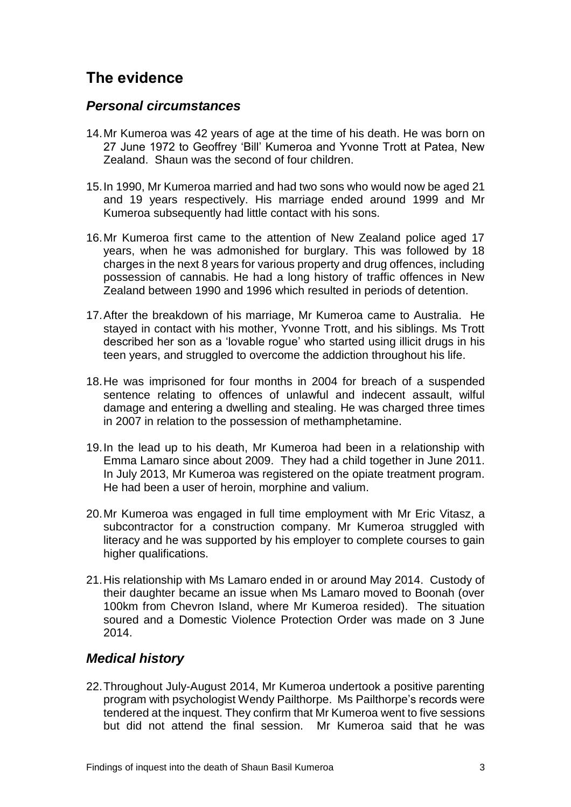# <span id="page-5-0"></span>**The evidence**

### <span id="page-5-1"></span>*Personal circumstances*

- 14.Mr Kumeroa was 42 years of age at the time of his death. He was born on 27 June 1972 to Geoffrey 'Bill' Kumeroa and Yvonne Trott at Patea, New Zealand. Shaun was the second of four children.
- 15.In 1990, Mr Kumeroa married and had two sons who would now be aged 21 and 19 years respectively. His marriage ended around 1999 and Mr Kumeroa subsequently had little contact with his sons.
- 16.Mr Kumeroa first came to the attention of New Zealand police aged 17 years, when he was admonished for burglary. This was followed by 18 charges in the next 8 years for various property and drug offences, including possession of cannabis. He had a long history of traffic offences in New Zealand between 1990 and 1996 which resulted in periods of detention.
- 17.After the breakdown of his marriage, Mr Kumeroa came to Australia. He stayed in contact with his mother, Yvonne Trott, and his siblings. Ms Trott described her son as a 'lovable rogue' who started using illicit drugs in his teen years, and struggled to overcome the addiction throughout his life.
- 18.He was imprisoned for four months in 2004 for breach of a suspended sentence relating to offences of unlawful and indecent assault, wilful damage and entering a dwelling and stealing. He was charged three times in 2007 in relation to the possession of methamphetamine.
- 19.In the lead up to his death, Mr Kumeroa had been in a relationship with Emma Lamaro since about 2009. They had a child together in June 2011. In July 2013, Mr Kumeroa was registered on the opiate treatment program. He had been a user of heroin, morphine and valium.
- 20.Mr Kumeroa was engaged in full time employment with Mr Eric Vitasz, a subcontractor for a construction company. Mr Kumeroa struggled with literacy and he was supported by his employer to complete courses to gain higher qualifications.
- 21.His relationship with Ms Lamaro ended in or around May 2014. Custody of their daughter became an issue when Ms Lamaro moved to Boonah (over 100km from Chevron Island, where Mr Kumeroa resided). The situation soured and a Domestic Violence Protection Order was made on 3 June 2014.

### <span id="page-5-2"></span>*Medical history*

22.Throughout July-August 2014, Mr Kumeroa undertook a positive parenting program with psychologist Wendy Pailthorpe. Ms Pailthorpe's records were tendered at the inquest. They confirm that Mr Kumeroa went to five sessions but did not attend the final session. Mr Kumeroa said that he was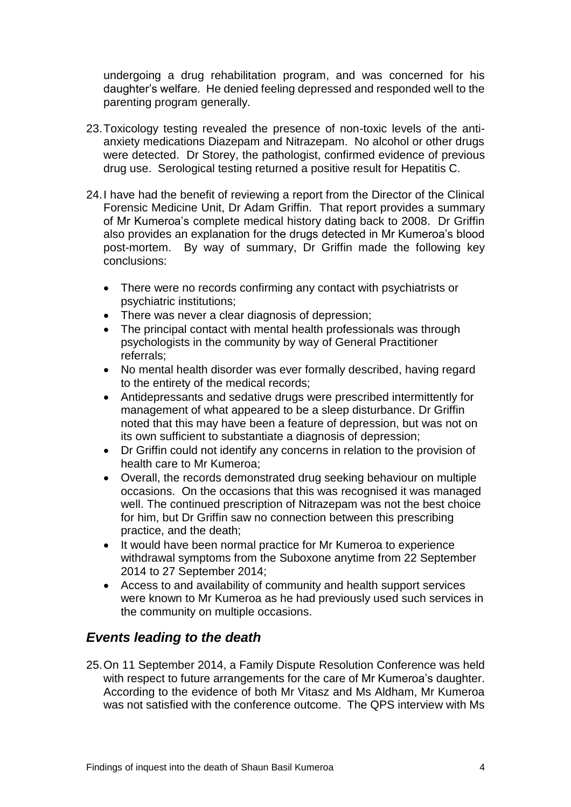undergoing a drug rehabilitation program, and was concerned for his daughter's welfare. He denied feeling depressed and responded well to the parenting program generally.

- 23.Toxicology testing revealed the presence of non-toxic levels of the antianxiety medications Diazepam and Nitrazepam. No alcohol or other drugs were detected. Dr Storey, the pathologist, confirmed evidence of previous drug use. Serological testing returned a positive result for Hepatitis C.
- 24.I have had the benefit of reviewing a report from the Director of the Clinical Forensic Medicine Unit, Dr Adam Griffin. That report provides a summary of Mr Kumeroa's complete medical history dating back to 2008. Dr Griffin also provides an explanation for the drugs detected in Mr Kumeroa's blood post-mortem. By way of summary, Dr Griffin made the following key conclusions:
	- There were no records confirming any contact with psychiatrists or psychiatric institutions;
	- There was never a clear diagnosis of depression;
	- The principal contact with mental health professionals was through psychologists in the community by way of General Practitioner referrals;
	- No mental health disorder was ever formally described, having regard to the entirety of the medical records;
	- Antidepressants and sedative drugs were prescribed intermittently for management of what appeared to be a sleep disturbance. Dr Griffin noted that this may have been a feature of depression, but was not on its own sufficient to substantiate a diagnosis of depression;
	- Dr Griffin could not identify any concerns in relation to the provision of health care to Mr Kumeroa;
	- Overall, the records demonstrated drug seeking behaviour on multiple occasions. On the occasions that this was recognised it was managed well. The continued prescription of Nitrazepam was not the best choice for him, but Dr Griffin saw no connection between this prescribing practice, and the death;
	- It would have been normal practice for Mr Kumeroa to experience withdrawal symptoms from the Suboxone anytime from 22 September 2014 to 27 September 2014;
	- Access to and availability of community and health support services were known to Mr Kumeroa as he had previously used such services in the community on multiple occasions.

### <span id="page-6-0"></span>*Events leading to the death*

25.On 11 September 2014, a Family Dispute Resolution Conference was held with respect to future arrangements for the care of Mr Kumeroa's daughter. According to the evidence of both Mr Vitasz and Ms Aldham, Mr Kumeroa was not satisfied with the conference outcome. The QPS interview with Ms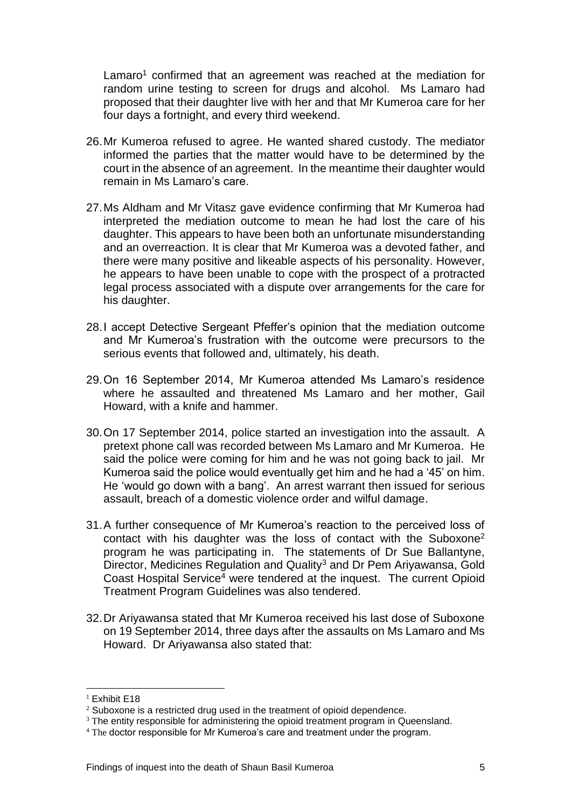Lamaro<sup>1</sup> confirmed that an agreement was reached at the mediation for random urine testing to screen for drugs and alcohol. Ms Lamaro had proposed that their daughter live with her and that Mr Kumeroa care for her four days a fortnight, and every third weekend.

- 26.Mr Kumeroa refused to agree. He wanted shared custody. The mediator informed the parties that the matter would have to be determined by the court in the absence of an agreement. In the meantime their daughter would remain in Ms Lamaro's care.
- 27.Ms Aldham and Mr Vitasz gave evidence confirming that Mr Kumeroa had interpreted the mediation outcome to mean he had lost the care of his daughter. This appears to have been both an unfortunate misunderstanding and an overreaction. It is clear that Mr Kumeroa was a devoted father, and there were many positive and likeable aspects of his personality. However, he appears to have been unable to cope with the prospect of a protracted legal process associated with a dispute over arrangements for the care for his daughter.
- 28.I accept Detective Sergeant Pfeffer's opinion that the mediation outcome and Mr Kumeroa's frustration with the outcome were precursors to the serious events that followed and, ultimately, his death.
- 29.On 16 September 2014, Mr Kumeroa attended Ms Lamaro's residence where he assaulted and threatened Ms Lamaro and her mother, Gail Howard, with a knife and hammer.
- 30.On 17 September 2014, police started an investigation into the assault. A pretext phone call was recorded between Ms Lamaro and Mr Kumeroa. He said the police were coming for him and he was not going back to jail. Mr Kumeroa said the police would eventually get him and he had a '45' on him. He 'would go down with a bang'. An arrest warrant then issued for serious assault, breach of a domestic violence order and wilful damage.
- 31.A further consequence of Mr Kumeroa's reaction to the perceived loss of contact with his daughter was the loss of contact with the Suboxone<sup>2</sup> program he was participating in. The statements of Dr Sue Ballantyne, Director, Medicines Regulation and Quality<sup>3</sup> and Dr Pem Ariyawansa, Gold Coast Hospital Service<sup>4</sup> were tendered at the inquest. The current Opioid Treatment Program Guidelines was also tendered.
- 32.Dr Ariyawansa stated that Mr Kumeroa received his last dose of Suboxone on 19 September 2014, three days after the assaults on Ms Lamaro and Ms Howard. Dr Ariyawansa also stated that:

 $\overline{a}$ 

<sup>&</sup>lt;sup>1</sup> Exhibit E18

 $2$  Suboxone is a restricted drug used in the treatment of opioid dependence.

<sup>&</sup>lt;sup>3</sup> The entity responsible for administering the opioid treatment program in Queensland.

<sup>&</sup>lt;sup>4</sup> The doctor responsible for Mr Kumeroa's care and treatment under the program.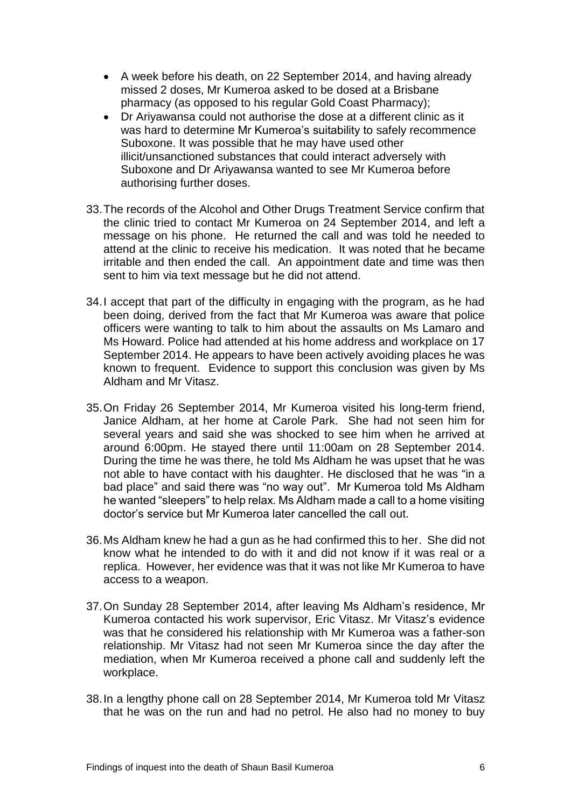- A week before his death, on 22 September 2014, and having already missed 2 doses, Mr Kumeroa asked to be dosed at a Brisbane pharmacy (as opposed to his regular Gold Coast Pharmacy);
- Dr Ariyawansa could not authorise the dose at a different clinic as it was hard to determine Mr Kumeroa's suitability to safely recommence Suboxone. It was possible that he may have used other illicit/unsanctioned substances that could interact adversely with Suboxone and Dr Ariyawansa wanted to see Mr Kumeroa before authorising further doses.
- 33.The records of the Alcohol and Other Drugs Treatment Service confirm that the clinic tried to contact Mr Kumeroa on 24 September 2014, and left a message on his phone. He returned the call and was told he needed to attend at the clinic to receive his medication. It was noted that he became irritable and then ended the call. An appointment date and time was then sent to him via text message but he did not attend.
- 34.I accept that part of the difficulty in engaging with the program, as he had been doing, derived from the fact that Mr Kumeroa was aware that police officers were wanting to talk to him about the assaults on Ms Lamaro and Ms Howard. Police had attended at his home address and workplace on 17 September 2014. He appears to have been actively avoiding places he was known to frequent. Evidence to support this conclusion was given by Ms Aldham and Mr Vitasz.
- 35.On Friday 26 September 2014, Mr Kumeroa visited his long-term friend, Janice Aldham, at her home at Carole Park. She had not seen him for several years and said she was shocked to see him when he arrived at around 6:00pm. He stayed there until 11:00am on 28 September 2014. During the time he was there, he told Ms Aldham he was upset that he was not able to have contact with his daughter. He disclosed that he was "in a bad place" and said there was "no way out". Mr Kumeroa told Ms Aldham he wanted "sleepers" to help relax. Ms Aldham made a call to a home visiting doctor's service but Mr Kumeroa later cancelled the call out.
- 36.Ms Aldham knew he had a gun as he had confirmed this to her. She did not know what he intended to do with it and did not know if it was real or a replica. However, her evidence was that it was not like Mr Kumeroa to have access to a weapon.
- 37.On Sunday 28 September 2014, after leaving Ms Aldham's residence, Mr Kumeroa contacted his work supervisor, Eric Vitasz. Mr Vitasz's evidence was that he considered his relationship with Mr Kumeroa was a father-son relationship. Mr Vitasz had not seen Mr Kumeroa since the day after the mediation, when Mr Kumeroa received a phone call and suddenly left the workplace.
- 38.In a lengthy phone call on 28 September 2014, Mr Kumeroa told Mr Vitasz that he was on the run and had no petrol. He also had no money to buy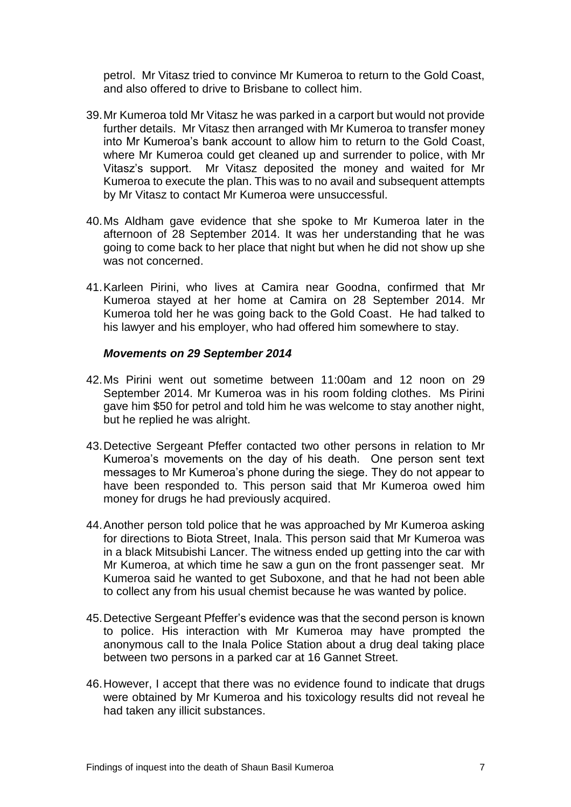petrol. Mr Vitasz tried to convince Mr Kumeroa to return to the Gold Coast, and also offered to drive to Brisbane to collect him.

- 39.Mr Kumeroa told Mr Vitasz he was parked in a carport but would not provide further details. Mr Vitasz then arranged with Mr Kumeroa to transfer money into Mr Kumeroa's bank account to allow him to return to the Gold Coast, where Mr Kumeroa could get cleaned up and surrender to police, with Mr Vitasz's support. Mr Vitasz deposited the money and waited for Mr Kumeroa to execute the plan. This was to no avail and subsequent attempts by Mr Vitasz to contact Mr Kumeroa were unsuccessful.
- 40.Ms Aldham gave evidence that she spoke to Mr Kumeroa later in the afternoon of 28 September 2014. It was her understanding that he was going to come back to her place that night but when he did not show up she was not concerned.
- 41.Karleen Pirini, who lives at Camira near Goodna, confirmed that Mr Kumeroa stayed at her home at Camira on 28 September 2014. Mr Kumeroa told her he was going back to the Gold Coast. He had talked to his lawyer and his employer, who had offered him somewhere to stay.

#### *Movements on 29 September 2014*

- 42.Ms Pirini went out sometime between 11:00am and 12 noon on 29 September 2014. Mr Kumeroa was in his room folding clothes. Ms Pirini gave him \$50 for petrol and told him he was welcome to stay another night, but he replied he was alright.
- 43.Detective Sergeant Pfeffer contacted two other persons in relation to Mr Kumeroa's movements on the day of his death. One person sent text messages to Mr Kumeroa's phone during the siege. They do not appear to have been responded to. This person said that Mr Kumeroa owed him money for drugs he had previously acquired.
- 44.Another person told police that he was approached by Mr Kumeroa asking for directions to Biota Street, Inala. This person said that Mr Kumeroa was in a black Mitsubishi Lancer. The witness ended up getting into the car with Mr Kumeroa, at which time he saw a gun on the front passenger seat. Mr Kumeroa said he wanted to get Suboxone, and that he had not been able to collect any from his usual chemist because he was wanted by police.
- 45.Detective Sergeant Pfeffer's evidence was that the second person is known to police. His interaction with Mr Kumeroa may have prompted the anonymous call to the Inala Police Station about a drug deal taking place between two persons in a parked car at 16 Gannet Street.
- 46.However, I accept that there was no evidence found to indicate that drugs were obtained by Mr Kumeroa and his toxicology results did not reveal he had taken any illicit substances.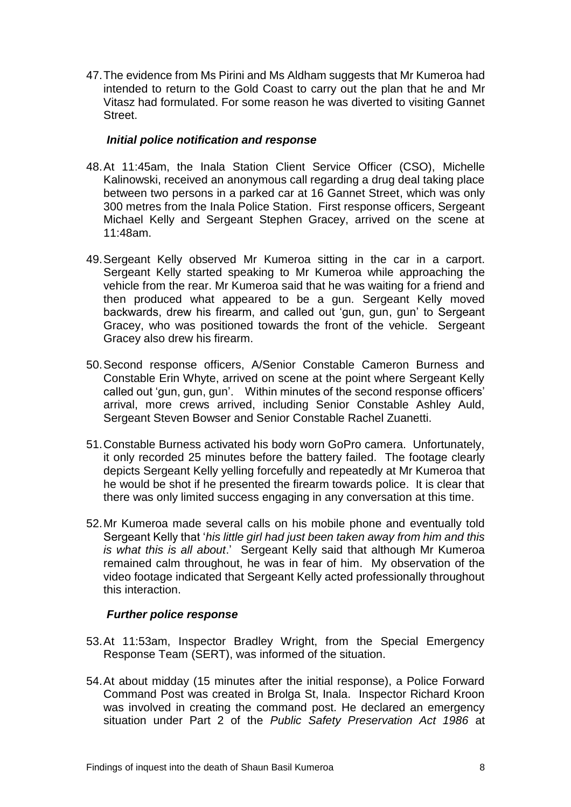47.The evidence from Ms Pirini and Ms Aldham suggests that Mr Kumeroa had intended to return to the Gold Coast to carry out the plan that he and Mr Vitasz had formulated. For some reason he was diverted to visiting Gannet Street.

#### *Initial police notification and response*

- 48.At 11:45am, the Inala Station Client Service Officer (CSO), Michelle Kalinowski, received an anonymous call regarding a drug deal taking place between two persons in a parked car at 16 Gannet Street, which was only 300 metres from the Inala Police Station. First response officers, Sergeant Michael Kelly and Sergeant Stephen Gracey, arrived on the scene at 11:48am.
- 49.Sergeant Kelly observed Mr Kumeroa sitting in the car in a carport. Sergeant Kelly started speaking to Mr Kumeroa while approaching the vehicle from the rear. Mr Kumeroa said that he was waiting for a friend and then produced what appeared to be a gun. Sergeant Kelly moved backwards, drew his firearm, and called out 'gun, gun, gun' to Sergeant Gracey, who was positioned towards the front of the vehicle. Sergeant Gracey also drew his firearm.
- 50.Second response officers, A/Senior Constable Cameron Burness and Constable Erin Whyte, arrived on scene at the point where Sergeant Kelly called out 'gun, gun, gun'. Within minutes of the second response officers' arrival, more crews arrived, including Senior Constable Ashley Auld, Sergeant Steven Bowser and Senior Constable Rachel Zuanetti.
- 51.Constable Burness activated his body worn GoPro camera. Unfortunately, it only recorded 25 minutes before the battery failed. The footage clearly depicts Sergeant Kelly yelling forcefully and repeatedly at Mr Kumeroa that he would be shot if he presented the firearm towards police. It is clear that there was only limited success engaging in any conversation at this time.
- 52.Mr Kumeroa made several calls on his mobile phone and eventually told Sergeant Kelly that '*his little girl had just been taken away from him and this is what this is all about*.' Sergeant Kelly said that although Mr Kumeroa remained calm throughout, he was in fear of him. My observation of the video footage indicated that Sergeant Kelly acted professionally throughout this interaction.

#### *Further police response*

- 53.At 11:53am, Inspector Bradley Wright, from the Special Emergency Response Team (SERT), was informed of the situation.
- 54.At about midday (15 minutes after the initial response), a Police Forward Command Post was created in Brolga St, Inala. Inspector Richard Kroon was involved in creating the command post. He declared an emergency situation under Part 2 of the *Public Safety Preservation Act 1986* at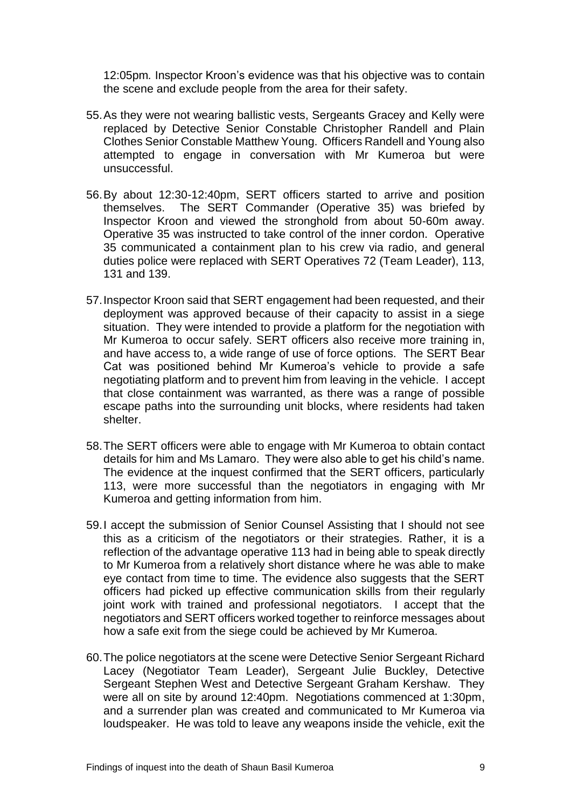12:05pm*.* Inspector Kroon's evidence was that his objective was to contain the scene and exclude people from the area for their safety.

- 55.As they were not wearing ballistic vests, Sergeants Gracey and Kelly were replaced by Detective Senior Constable Christopher Randell and Plain Clothes Senior Constable Matthew Young. Officers Randell and Young also attempted to engage in conversation with Mr Kumeroa but were unsuccessful.
- 56.By about 12:30-12:40pm, SERT officers started to arrive and position themselves. The SERT Commander (Operative 35) was briefed by Inspector Kroon and viewed the stronghold from about 50-60m away. Operative 35 was instructed to take control of the inner cordon. Operative 35 communicated a containment plan to his crew via radio, and general duties police were replaced with SERT Operatives 72 (Team Leader), 113, 131 and 139.
- 57.Inspector Kroon said that SERT engagement had been requested, and their deployment was approved because of their capacity to assist in a siege situation. They were intended to provide a platform for the negotiation with Mr Kumeroa to occur safely. SERT officers also receive more training in, and have access to, a wide range of use of force options. The SERT Bear Cat was positioned behind Mr Kumeroa's vehicle to provide a safe negotiating platform and to prevent him from leaving in the vehicle. I accept that close containment was warranted, as there was a range of possible escape paths into the surrounding unit blocks, where residents had taken shelter.
- 58.The SERT officers were able to engage with Mr Kumeroa to obtain contact details for him and Ms Lamaro. They were also able to get his child's name. The evidence at the inquest confirmed that the SERT officers, particularly 113, were more successful than the negotiators in engaging with Mr Kumeroa and getting information from him.
- 59.I accept the submission of Senior Counsel Assisting that I should not see this as a criticism of the negotiators or their strategies. Rather, it is a reflection of the advantage operative 113 had in being able to speak directly to Mr Kumeroa from a relatively short distance where he was able to make eye contact from time to time. The evidence also suggests that the SERT officers had picked up effective communication skills from their regularly joint work with trained and professional negotiators. I accept that the negotiators and SERT officers worked together to reinforce messages about how a safe exit from the siege could be achieved by Mr Kumeroa.
- 60.The police negotiators at the scene were Detective Senior Sergeant Richard Lacey (Negotiator Team Leader), Sergeant Julie Buckley, Detective Sergeant Stephen West and Detective Sergeant Graham Kershaw. They were all on site by around 12:40pm. Negotiations commenced at 1:30pm, and a surrender plan was created and communicated to Mr Kumeroa via loudspeaker. He was told to leave any weapons inside the vehicle, exit the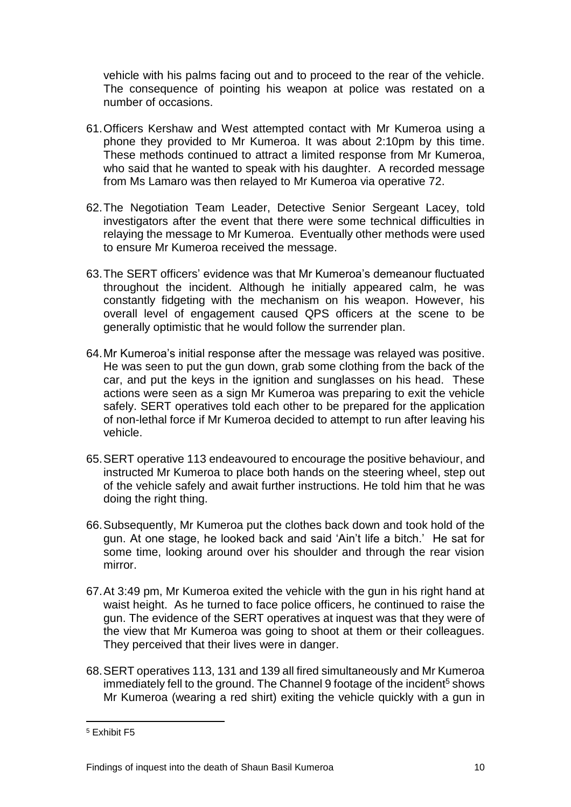vehicle with his palms facing out and to proceed to the rear of the vehicle. The consequence of pointing his weapon at police was restated on a number of occasions.

- 61.Officers Kershaw and West attempted contact with Mr Kumeroa using a phone they provided to Mr Kumeroa. It was about 2:10pm by this time. These methods continued to attract a limited response from Mr Kumeroa, who said that he wanted to speak with his daughter. A recorded message from Ms Lamaro was then relayed to Mr Kumeroa via operative 72.
- 62.The Negotiation Team Leader, Detective Senior Sergeant Lacey, told investigators after the event that there were some technical difficulties in relaying the message to Mr Kumeroa. Eventually other methods were used to ensure Mr Kumeroa received the message.
- 63.The SERT officers' evidence was that Mr Kumeroa's demeanour fluctuated throughout the incident. Although he initially appeared calm, he was constantly fidgeting with the mechanism on his weapon. However, his overall level of engagement caused QPS officers at the scene to be generally optimistic that he would follow the surrender plan.
- 64.Mr Kumeroa's initial response after the message was relayed was positive. He was seen to put the gun down, grab some clothing from the back of the car, and put the keys in the ignition and sunglasses on his head. These actions were seen as a sign Mr Kumeroa was preparing to exit the vehicle safely. SERT operatives told each other to be prepared for the application of non-lethal force if Mr Kumeroa decided to attempt to run after leaving his vehicle.
- 65.SERT operative 113 endeavoured to encourage the positive behaviour, and instructed Mr Kumeroa to place both hands on the steering wheel, step out of the vehicle safely and await further instructions. He told him that he was doing the right thing.
- 66.Subsequently, Mr Kumeroa put the clothes back down and took hold of the gun. At one stage, he looked back and said 'Ain't life a bitch.' He sat for some time, looking around over his shoulder and through the rear vision mirror.
- 67.At 3:49 pm, Mr Kumeroa exited the vehicle with the gun in his right hand at waist height. As he turned to face police officers, he continued to raise the gun. The evidence of the SERT operatives at inquest was that they were of the view that Mr Kumeroa was going to shoot at them or their colleagues. They perceived that their lives were in danger.
- 68.SERT operatives 113, 131 and 139 all fired simultaneously and Mr Kumeroa immediately fell to the ground. The Channel 9 footage of the incident<sup>5</sup> shows Mr Kumeroa (wearing a red shirt) exiting the vehicle quickly with a gun in

<sup>5</sup> Exhibit F5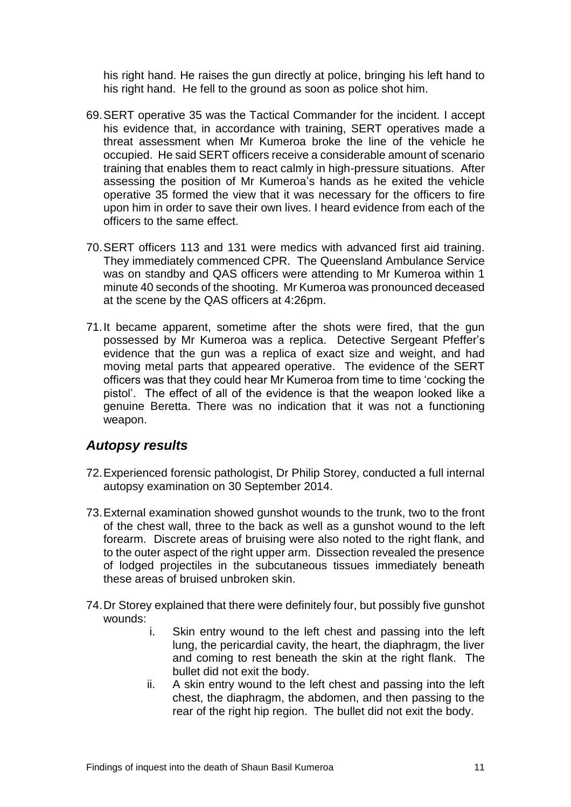his right hand. He raises the gun directly at police, bringing his left hand to his right hand. He fell to the ground as soon as police shot him.

- 69.SERT operative 35 was the Tactical Commander for the incident. I accept his evidence that, in accordance with training, SERT operatives made a threat assessment when Mr Kumeroa broke the line of the vehicle he occupied. He said SERT officers receive a considerable amount of scenario training that enables them to react calmly in high-pressure situations. After assessing the position of Mr Kumeroa's hands as he exited the vehicle operative 35 formed the view that it was necessary for the officers to fire upon him in order to save their own lives. I heard evidence from each of the officers to the same effect.
- 70.SERT officers 113 and 131 were medics with advanced first aid training. They immediately commenced CPR. The Queensland Ambulance Service was on standby and QAS officers were attending to Mr Kumeroa within 1 minute 40 seconds of the shooting. Mr Kumeroa was pronounced deceased at the scene by the QAS officers at 4:26pm.
- 71.It became apparent, sometime after the shots were fired, that the gun possessed by Mr Kumeroa was a replica. Detective Sergeant Pfeffer's evidence that the gun was a replica of exact size and weight, and had moving metal parts that appeared operative. The evidence of the SERT officers was that they could hear Mr Kumeroa from time to time 'cocking the pistol'. The effect of all of the evidence is that the weapon looked like a genuine Beretta. There was no indication that it was not a functioning weapon.

### <span id="page-13-0"></span>*Autopsy results*

- 72.Experienced forensic pathologist, Dr Philip Storey, conducted a full internal autopsy examination on 30 September 2014.
- 73.External examination showed gunshot wounds to the trunk, two to the front of the chest wall, three to the back as well as a gunshot wound to the left forearm. Discrete areas of bruising were also noted to the right flank, and to the outer aspect of the right upper arm. Dissection revealed the presence of lodged projectiles in the subcutaneous tissues immediately beneath these areas of bruised unbroken skin.
- 74.Dr Storey explained that there were definitely four, but possibly five gunshot wounds:
	- i. Skin entry wound to the left chest and passing into the left lung, the pericardial cavity, the heart, the diaphragm, the liver and coming to rest beneath the skin at the right flank. The bullet did not exit the body.
	- ii. A skin entry wound to the left chest and passing into the left chest, the diaphragm, the abdomen, and then passing to the rear of the right hip region. The bullet did not exit the body.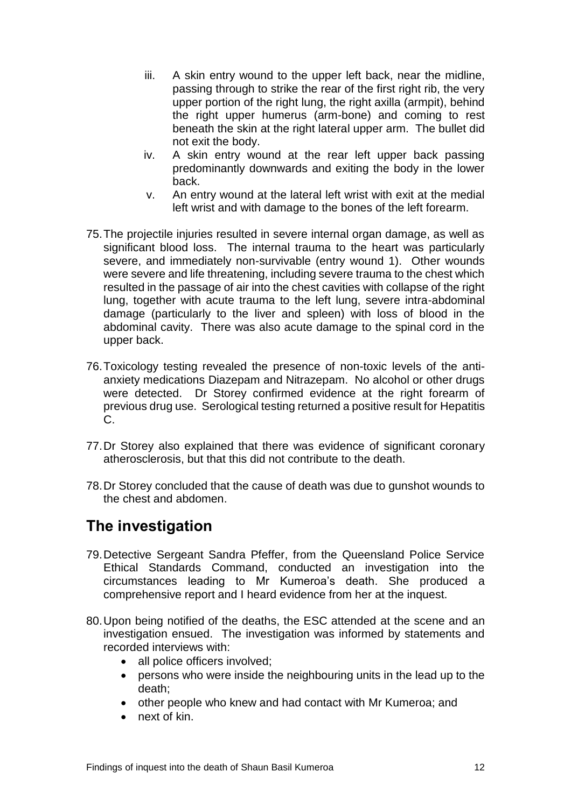- iii. A skin entry wound to the upper left back, near the midline, passing through to strike the rear of the first right rib, the very upper portion of the right lung, the right axilla (armpit), behind the right upper humerus (arm-bone) and coming to rest beneath the skin at the right lateral upper arm. The bullet did not exit the body.
- iv. A skin entry wound at the rear left upper back passing predominantly downwards and exiting the body in the lower back.
- v. An entry wound at the lateral left wrist with exit at the medial left wrist and with damage to the bones of the left forearm.
- 75.The projectile injuries resulted in severe internal organ damage, as well as significant blood loss. The internal trauma to the heart was particularly severe, and immediately non-survivable (entry wound 1). Other wounds were severe and life threatening, including severe trauma to the chest which resulted in the passage of air into the chest cavities with collapse of the right lung, together with acute trauma to the left lung, severe intra-abdominal damage (particularly to the liver and spleen) with loss of blood in the abdominal cavity. There was also acute damage to the spinal cord in the upper back.
- 76.Toxicology testing revealed the presence of non-toxic levels of the antianxiety medications Diazepam and Nitrazepam. No alcohol or other drugs were detected. Dr Storey confirmed evidence at the right forearm of previous drug use. Serological testing returned a positive result for Hepatitis C.
- 77.Dr Storey also explained that there was evidence of significant coronary atherosclerosis, but that this did not contribute to the death.
- 78.Dr Storey concluded that the cause of death was due to gunshot wounds to the chest and abdomen.

### <span id="page-14-0"></span>**The investigation**

- 79.Detective Sergeant Sandra Pfeffer, from the Queensland Police Service Ethical Standards Command, conducted an investigation into the circumstances leading to Mr Kumeroa's death. She produced a comprehensive report and I heard evidence from her at the inquest.
- 80.Upon being notified of the deaths, the ESC attended at the scene and an investigation ensued. The investigation was informed by statements and recorded interviews with:
	- all police officers involved;
	- persons who were inside the neighbouring units in the lead up to the death;
	- other people who knew and had contact with Mr Kumeroa; and
	- next of kin.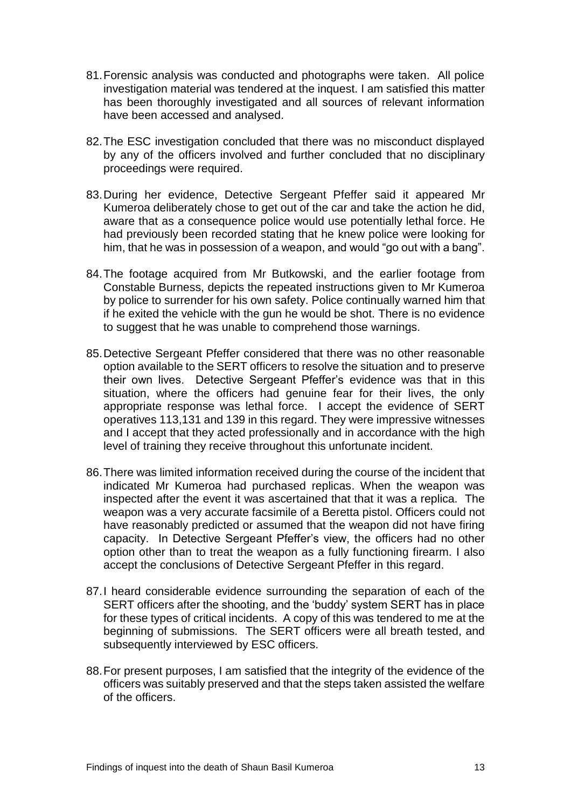- 81.Forensic analysis was conducted and photographs were taken. All police investigation material was tendered at the inquest. I am satisfied this matter has been thoroughly investigated and all sources of relevant information have been accessed and analysed.
- 82.The ESC investigation concluded that there was no misconduct displayed by any of the officers involved and further concluded that no disciplinary proceedings were required.
- 83.During her evidence, Detective Sergeant Pfeffer said it appeared Mr Kumeroa deliberately chose to get out of the car and take the action he did, aware that as a consequence police would use potentially lethal force. He had previously been recorded stating that he knew police were looking for him, that he was in possession of a weapon, and would "go out with a bang".
- 84.The footage acquired from Mr Butkowski, and the earlier footage from Constable Burness, depicts the repeated instructions given to Mr Kumeroa by police to surrender for his own safety. Police continually warned him that if he exited the vehicle with the gun he would be shot. There is no evidence to suggest that he was unable to comprehend those warnings.
- 85.Detective Sergeant Pfeffer considered that there was no other reasonable option available to the SERT officers to resolve the situation and to preserve their own lives. Detective Sergeant Pfeffer's evidence was that in this situation, where the officers had genuine fear for their lives, the only appropriate response was lethal force. I accept the evidence of SERT operatives 113,131 and 139 in this regard. They were impressive witnesses and I accept that they acted professionally and in accordance with the high level of training they receive throughout this unfortunate incident.
- 86.There was limited information received during the course of the incident that indicated Mr Kumeroa had purchased replicas. When the weapon was inspected after the event it was ascertained that that it was a replica. The weapon was a very accurate facsimile of a Beretta pistol. Officers could not have reasonably predicted or assumed that the weapon did not have firing capacity. In Detective Sergeant Pfeffer's view, the officers had no other option other than to treat the weapon as a fully functioning firearm. I also accept the conclusions of Detective Sergeant Pfeffer in this regard.
- 87.I heard considerable evidence surrounding the separation of each of the SERT officers after the shooting, and the 'buddy' system SERT has in place for these types of critical incidents. A copy of this was tendered to me at the beginning of submissions. The SERT officers were all breath tested, and subsequently interviewed by ESC officers.
- 88.For present purposes, I am satisfied that the integrity of the evidence of the officers was suitably preserved and that the steps taken assisted the welfare of the officers.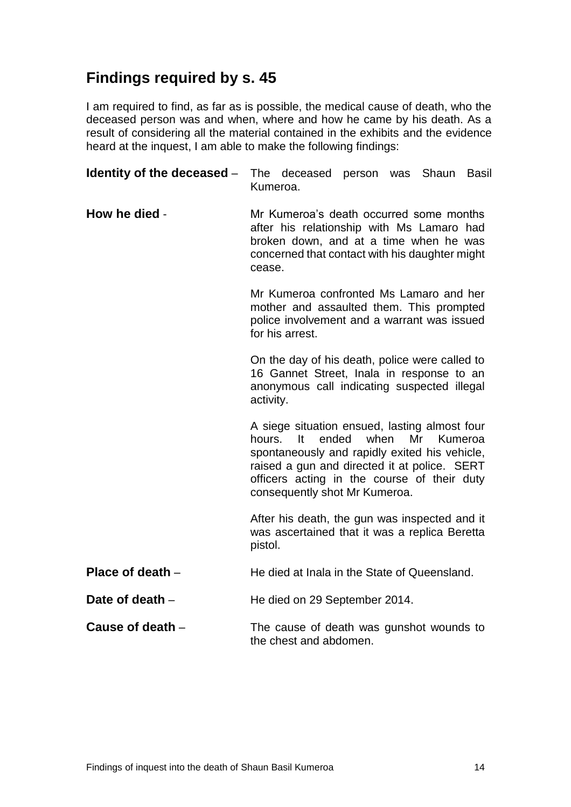# <span id="page-16-0"></span>**Findings required by s. 45**

I am required to find, as far as is possible, the medical cause of death, who the deceased person was and when, where and how he came by his death. As a result of considering all the material contained in the exhibits and the evidence heard at the inquest, I am able to make the following findings:

| Identity of the deceased - | The deceased person was Shaun Basil<br>Kumeroa.                                                                                                                                                                                                                                  |  |  |  |
|----------------------------|----------------------------------------------------------------------------------------------------------------------------------------------------------------------------------------------------------------------------------------------------------------------------------|--|--|--|
| How he died -              | Mr Kumeroa's death occurred some months<br>after his relationship with Ms Lamaro had<br>broken down, and at a time when he was<br>concerned that contact with his daughter might<br>cease.                                                                                       |  |  |  |
|                            | Mr Kumeroa confronted Ms Lamaro and her<br>mother and assaulted them. This prompted<br>police involvement and a warrant was issued<br>for his arrest.                                                                                                                            |  |  |  |
|                            | On the day of his death, police were called to<br>16 Gannet Street, Inala in response to an<br>anonymous call indicating suspected illegal<br>activity.                                                                                                                          |  |  |  |
|                            | A siege situation ensued, lasting almost four<br>Mr<br>hours.<br>ended<br>when<br>Kumeroa<br>It<br>spontaneously and rapidly exited his vehicle,<br>raised a gun and directed it at police. SERT<br>officers acting in the course of their duty<br>consequently shot Mr Kumeroa. |  |  |  |
|                            | After his death, the gun was inspected and it<br>was ascertained that it was a replica Beretta<br>pistol.                                                                                                                                                                        |  |  |  |
| Place of death $-$         | He died at Inala in the State of Queensland.                                                                                                                                                                                                                                     |  |  |  |
| Date of death -            | He died on 29 September 2014.                                                                                                                                                                                                                                                    |  |  |  |
| Cause of death -           | The cause of death was gunshot wounds to<br>the chest and abdomen.                                                                                                                                                                                                               |  |  |  |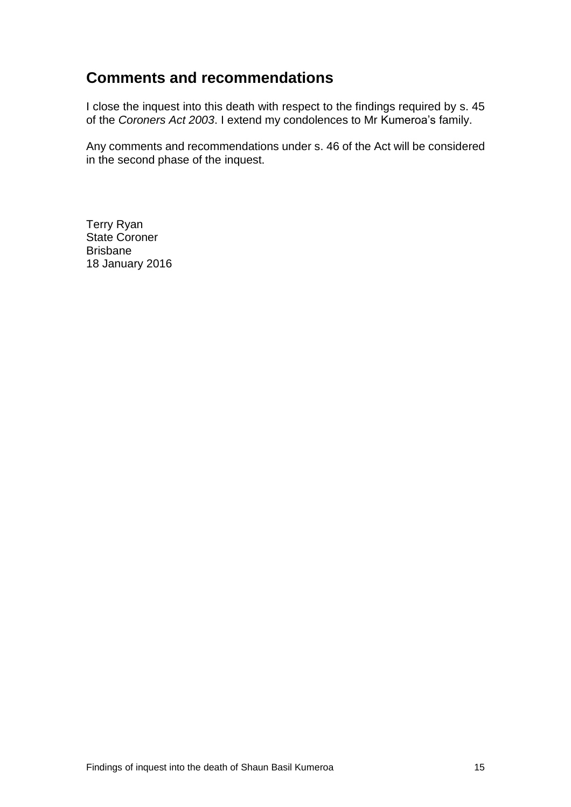### <span id="page-17-0"></span>**Comments and recommendations**

I close the inquest into this death with respect to the findings required by s. 45 of the *Coroners Act 2003*. I extend my condolences to Mr Kumeroa's family.

Any comments and recommendations under s. 46 of the Act will be considered in the second phase of the inquest.

Terry Ryan State Coroner Brisbane 18 January 2016